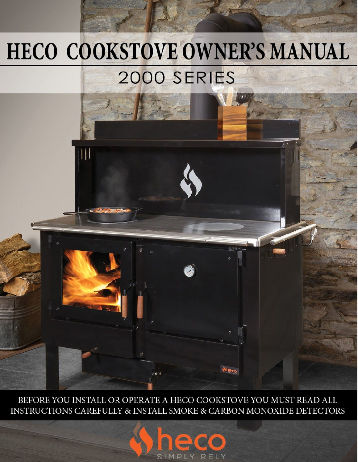# HECO COOKSTOVE OWNER'S MANUAL 2000 SERIES

 $\mathbf{||}$ 

BEFORE YOU INSTALL OR OPERATE A HECO COOKSTOVE YOU MUST READ ALL INSTRUCTIONS CAREFULLY & INSTALL SMOKE & CARBON MONOXIDE DETECTORS

SIMPLY RELY

**Wheco**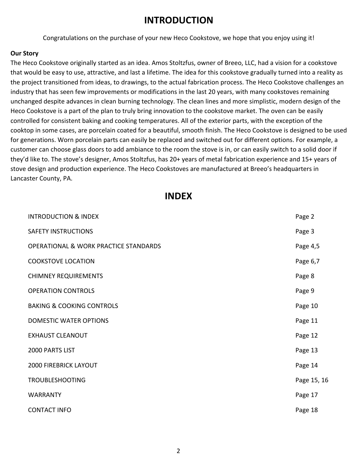#### **INTRODUCTION**

Congratulations on the purchase of your new Heco Cookstove, we hope that you enjoy using it!

#### **Our Story**

The Heco Cookstove originally started as an idea. Amos Stoltzfus, owner of Breeo, LLC, had a vision for a cookstove that would be easy to use, attractive, and last a lifetime. The idea for this cookstove gradually turned into a reality as the project transitioned from ideas, to drawings, to the actual fabrication process. The Heco Cookstove challenges an industry that has seen few improvements or modifications in the last 20 years, with many cookstoves remaining unchanged despite advances in clean burning technology. The clean lines and more simplistic, modern design of the Heco Cookstove is a part of the plan to truly bring innovation to the cookstove market. The oven can be easily controlled for consistent baking and cooking temperatures. All of the exterior parts, with the exception of the cooktop in some cases, are porcelain coated for a beautiful, smooth finish. The Heco Cookstove is designed to be used for generations. Worn porcelain parts can easily be replaced and switched out for different options. For example, a customer can choose glass doors to add ambiance to the room the stove is in, or can easily switch to a solid door if they'd like to. The stove's designer, Amos Stoltzfus, has 20+ years of metal fabrication experience and 15+ years of stove design and production experience. The Heco Cookstoves are manufactured at Breeo's headquarters in Lancaster County, PA.

#### **INDEX**

| <b>INTRODUCTION &amp; INDEX</b>                  | Page 2      |
|--------------------------------------------------|-------------|
| <b>SAFETY INSTRUCTIONS</b>                       | Page 3      |
| <b>OPERATIONAL &amp; WORK PRACTICE STANDARDS</b> | Page 4,5    |
| <b>COOKSTOVE LOCATION</b>                        | Page 6,7    |
| <b>CHIMNEY REQUIREMENTS</b>                      | Page 8      |
| <b>OPERATION CONTROLS</b>                        | Page 9      |
| <b>BAKING &amp; COOKING CONTROLS</b>             | Page 10     |
| <b>DOMESTIC WATER OPTIONS</b>                    | Page 11     |
| <b>EXHAUST CLEANOUT</b>                          | Page 12     |
| 2000 PARTS LIST                                  | Page 13     |
| <b>2000 FIREBRICK LAYOUT</b>                     | Page 14     |
| <b>TROUBLESHOOTING</b>                           | Page 15, 16 |
| <b>WARRANTY</b>                                  | Page 17     |
| <b>CONTACT INFO</b>                              | Page 18     |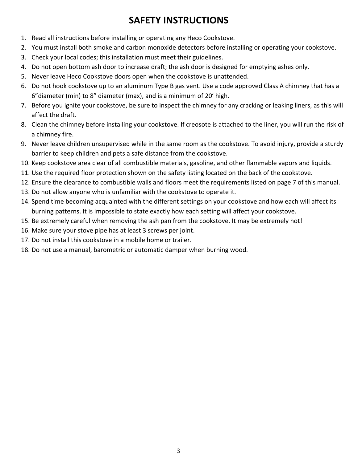### **SAFETY INSTRUCTIONS**

- 1. Read all instructions before installing or operating any Heco Cookstove.
- 2. You must install both smoke and carbon monoxide detectors before installing or operating your cookstove.
- 3. Check your local codes; this installation must meet their guidelines.
- 4. Do not open bottom ash door to increase draft; the ash door is designed for emptying ashes only.
- 5. Never leave Heco Cookstove doors open when the cookstove is unattended.
- 6. Do not hook cookstove up to an aluminum Type B gas vent. Use a code approved Class A chimney that has a 6"diameter (min) to 8" diameter (max), and is a minimum of 20' high.
- 7. Before you ignite your cookstove, be sure to inspect the chimney for any cracking or leaking liners, as this will affect the draft.
- 8. Clean the chimney before installing your cookstove. If creosote is attached to the liner, you will run the risk of a chimney fire.
- 9. Never leave children unsupervised while in the same room as the cookstove. To avoid injury, provide a sturdy barrier to keep children and pets a safe distance from the cookstove.
- 10. Keep cookstove area clear of all combustible materials, gasoline, and other flammable vapors and liquids.
- 11. Use the required floor protection shown on the safety listing located on the back of the cookstove.
- 12. Ensure the clearance to combustible walls and floors meet the requirements listed on page 7 of this manual.
- 13. Do not allow anyone who is unfamiliar with the cookstove to operate it.
- 14. Spend time becoming acquainted with the different settings on your cookstove and how each will affect its burning patterns. It is impossible to state exactly how each setting will affect your cookstove.
- 15. Be extremely careful when removing the ash pan from the cookstove. It may be extremely hot!
- 16. Make sure your stove pipe has at least 3 screws per joint.
- 17. Do not install this cookstove in a mobile home or trailer.
- 18. Do not use a manual, barometric or automatic damper when burning wood.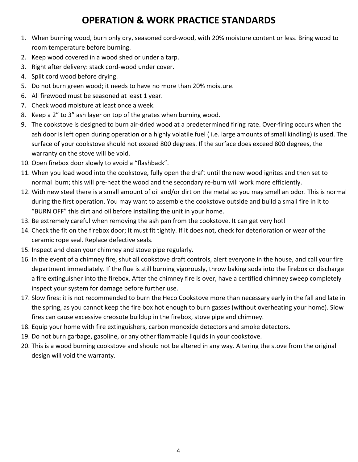### **OPERATION & WORK PRACTICE STANDARDS**

- 1. When burning wood, burn only dry, seasoned cord-wood, with 20% moisture content or less. Bring wood to room temperature before burning.
- 2. Keep wood covered in a wood shed or under a tarp.
- 3. Right after delivery: stack cord-wood under cover.
- 4. Split cord wood before drying.
- 5. Do not burn green wood; it needs to have no more than 20% moisture.
- 6. All firewood must be seasoned at least 1 year.
- 7. Check wood moisture at least once a week.
- 8. Keep a 2" to 3" ash layer on top of the grates when burning wood.
- 9. The cookstove is designed to burn air-dried wood at a predetermined firing rate. Over-firing occurs when the ash door is left open during operation or a highly volatile fuel ( i.e. large amounts of small kindling) is used. The surface of your cookstove should not exceed 800 degrees. If the surface does exceed 800 degrees, the warranty on the stove will be void.
- 10. Open firebox door slowly to avoid a "flashback".
- 11. When you load wood into the cookstove, fully open the draft until the new wood ignites and then set to normal burn; this will pre-heat the wood and the secondary re-burn will work more efficiently.
- 12. With new steel there is a small amount of oil and/or dirt on the metal so you may smell an odor. This is normal during the first operation. You may want to assemble the cookstove outside and build a small fire in it to "BURN OFF" this dirt and oil before installing the unit in your home.
- 13. Be extremely careful when removing the ash pan from the cookstove. It can get very hot!
- 14. Check the fit on the firebox door; It must fit tightly. If it does not, check for deterioration or wear of the ceramic rope seal. Replace defective seals.
- 15. Inspect and clean your chimney and stove pipe regularly.
- 16. In the event of a chimney fire, shut all cookstove draft controls, alert everyone in the house, and call your fire department immediately. If the flue is still burning vigorously, throw baking soda into the firebox or discharge a fire extinguisher into the firebox. After the chimney fire is over, have a certified chimney sweep completely inspect your system for damage before further use.
- 17. Slow fires: it is not recommended to burn the Heco Cookstove more than necessary early in the fall and late in the spring, as you cannot keep the fire box hot enough to burn gasses (without overheating your home). Slow fires can cause excessive creosote buildup in the firebox, stove pipe and chimney.
- 18. Equip your home with fire extinguishers, carbon monoxide detectors and smoke detectors.
- 19. Do not burn garbage, gasoline, or any other flammable liquids in your cookstove.
- 20. This is a wood burning cookstove and should not be altered in any way. Altering the stove from the original design will void the warranty.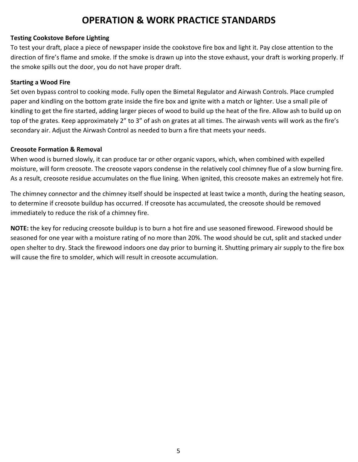#### **OPERATION & WORK PRACTICE STANDARDS**

#### **Testing Cookstove Before Lighting**

To test your draft, place a piece of newspaper inside the cookstove fire box and light it. Pay close attention to the direction of fire's flame and smoke. If the smoke is drawn up into the stove exhaust, your draft is working properly. If the smoke spills out the door, you do not have proper draft.

#### **Starting a Wood Fire**

Set oven bypass control to cooking mode. Fully open the Bimetal Regulator and Airwash Controls. Place crumpled paper and kindling on the bottom grate inside the fire box and ignite with a match or lighter. Use a small pile of kindling to get the fire started, adding larger pieces of wood to build up the heat of the fire. Allow ash to build up on top of the grates. Keep approximately 2" to 3" of ash on grates at all times. The airwash vents will work as the fire's secondary air. Adjust the Airwash Control as needed to burn a fire that meets your needs.

#### **Creosote Formation & Removal**

When wood is burned slowly, it can produce tar or other organic vapors, which, when combined with expelled moisture, will form creosote. The creosote vapors condense in the relatively cool chimney flue of a slow burning fire. As a result, creosote residue accumulates on the flue lining. When ignited, this creosote makes an extremely hot fire.

The chimney connector and the chimney itself should be inspected at least twice a month, during the heating season, to determine if creosote buildup has occurred. If creosote has accumulated, the creosote should be removed immediately to reduce the risk of a chimney fire.

**NOTE:** the key for reducing creosote buildup is to burn a hot fire and use seasoned firewood. Firewood should be seasoned for one year with a moisture rating of no more than 20%. The wood should be cut, split and stacked under open shelter to dry. Stack the firewood indoors one day prior to burning it. Shutting primary air supply to the fire box will cause the fire to smolder, which will result in creosote accumulation.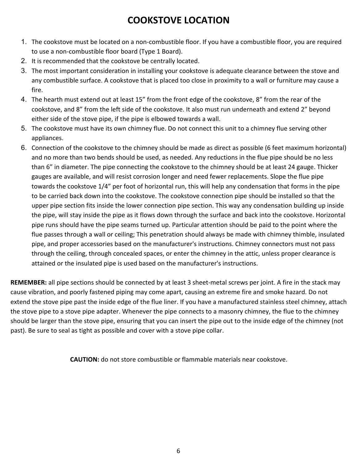### **COOKSTOVE LOCATION**

- 1. The cookstove must be located on a non-combustible floor. If you have a combustible floor, you are required to use a non-combustible floor board (Type 1 Board).
- 2. It is recommended that the cookstove be centrally located.
- 3. The most important consideration in installing your cookstove is adequate clearance between the stove and any combustible surface. A cookstove that is placed too close in proximity to a wall or furniture may cause a fire.
- 4. The hearth must extend out at least 15" from the front edge of the cookstove, 8" from the rear of the cookstove, and 8" from the left side of the cookstove. It also must run underneath and extend 2" beyond either side of the stove pipe, if the pipe is elbowed towards a wall.
- 5. The cookstove must have its own chimney flue. Do not connect this unit to a chimney flue serving other appliances.
- 6. Connection of the cookstove to the chimney should be made as direct as possible (6 feet maximum horizontal) and no more than two bends should be used, as needed. Any reductions in the flue pipe should be no less than 6" in diameter. The pipe connecting the cookstove to the chimney should be at least 24 gauge. Thicker gauges are available, and will resist corrosion longer and need fewer replacements. Slope the flue pipe towards the cookstove 1/4" per foot of horizontal run, this will help any condensation that forms in the pipe to be carried back down into the cookstove. The cookstove connection pipe should be installed so that the upper pipe section fits inside the lower connection pipe section. This way any condensation building up inside the pipe, will stay inside the pipe as it flows down through the surface and back into the cookstove. Horizontal pipe runs should have the pipe seams turned up. Particular attention should be paid to the point where the flue passes through a wall or ceiling; This penetration should always be made with chimney thimble, insulated pipe, and proper accessories based on the manufacturer's instructions. Chimney connectors must not pass through the ceiling, through concealed spaces, or enter the chimney in the attic, unless proper clearance is attained or the insulated pipe is used based on the manufacturer's instructions.

**REMEMBER:** all pipe sections should be connected by at least 3 sheet-metal screws per joint. A fire in the stack may cause vibration, and poorly fastened piping may come apart, causing an extreme fire and smoke hazard. Do not extend the stove pipe past the inside edge of the flue liner. If you have a manufactured stainless steel chimney, attach the stove pipe to a stove pipe adapter. Whenever the pipe connects to a masonry chimney, the flue to the chimney should be larger than the stove pipe, ensuring that you can insert the pipe out to the inside edge of the chimney (not past). Be sure to seal as tight as possible and cover with a stove pipe collar.

**CAUTION:** do not store combustible or flammable materials near cookstove.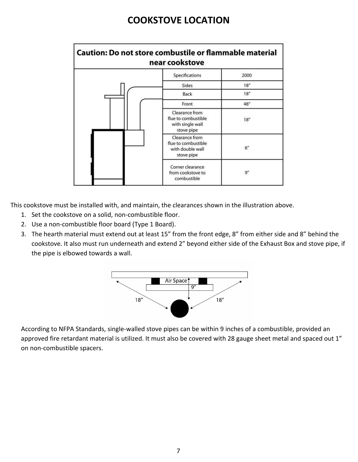### **COOKSTOVE LOCATION**

| <b>Caution: Do not store combustile or flammable material</b> | near cookstove                                                          |      |
|---------------------------------------------------------------|-------------------------------------------------------------------------|------|
|                                                               | Specifications                                                          | 2000 |
|                                                               | Sides                                                                   | 18"  |
|                                                               | Back                                                                    | 18"  |
|                                                               | Front                                                                   | 48"  |
|                                                               | Clearance from<br>flue to combustible<br>with single wall<br>stove pipe | 18"  |
|                                                               | Clearance from<br>flue to combustible<br>with double wall<br>stove pipe | 6"   |
|                                                               | Corner clearance<br>from cookstove to<br>combustible                    | 9''  |

This cookstove must be installed with, and maintain, the clearances shown in the illustration above.

- 1. Set the cookstove on a solid, non-combustible floor.
- 2. Use a non-combustible floor board (Type 1 Board).
- 3. The hearth material must extend out at least 15" from the front edge, 8" from either side and 8" behind the cookstove. It also must run underneath and extend 2" beyond either side of the Exhaust Box and stove pipe, if the pipe is elbowed towards a wall.



According to NFPA Standards, single-walled stove pipes can be within 9 inches of a combustible, provided an approved fire retardant material is utilized. It must also be covered with 28 gauge sheet metal and spaced out 1" on non-combustible spacers.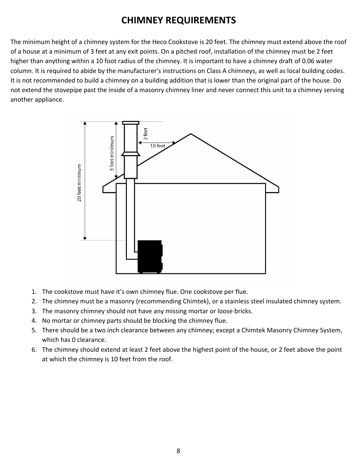### **CHIMNEY REQUIREMENTS**

The minimum height of a chimney system for the Heco Cookstove is 20 feet. The chimney must extend above the roof of a house at a minimum of 3 feet at any exit points. On a pitched roof, installation of the chimney must be 2 feet higher than anything within a 10 foot radius of the chimney. It is important to have a chimney draft of 0.06 water column. It is required to abide by the manufacturer's instructions on Class A chimneys, as well as local building codes. It is not recommended to build a chimney on a building addition that is lower than the original part of the house. Do not extend the stovepipe past the inside of a masonry chimney liner and never connect this unit to a chimney serving another appliance.



- 1. The cookstove must have it's own chimney flue. One cookstove per flue.
- 2. The chimney must be a masonry (recommending Chimtek), or a stainless steel insulated chimney system.
- 3. The masonry chimney should not have any missing mortar or loose bricks.
- 4. No mortar or chimney parts should be blocking the chimney flue.
- 5. There should be a two inch clearance between any chimney; except a Chimtek Masonry Chimney System, which has 0 clearance.
- 6. The chimney should extend at least 2 feet above the highest point of the house, or 2 feet above the point at which the chimney is 10 feet from the roof.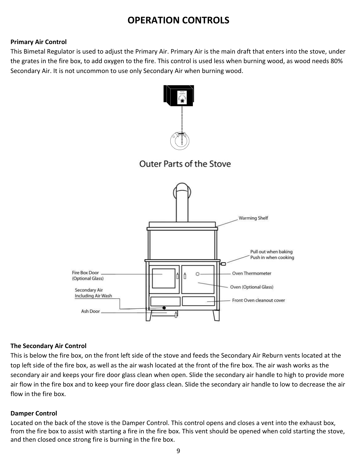### **OPERATION CONTROLS**

#### **Primary Air Control**

This Bimetal Regulator is used to adjust the Primary Air. Primary Air is the main draft that enters into the stove, under the grates in the fire box, to add oxygen to the fire. This control is used less when burning wood, as wood needs 80% Secondary Air. It is not uncommon to use only Secondary Air when burning wood.



#### **The Secondary Air Control**

This is below the fire box, on the front left side of the stove and feeds the Secondary Air Reburn vents located at the top left side of the fire box, as well as the air wash located at the front of the fire box. The air wash works as the secondary air and keeps your fire door glass clean when open. Slide the secondary air handle to high to provide more air flow in the fire box and to keep your fire door glass clean. Slide the secondary air handle to low to decrease the air flow in the fire box.

#### **Damper Control**

Located on the back of the stove is the Damper Control. This control opens and closes a vent into the exhaust box, from the fire box to assist with starting a fire in the fire box. This vent should be opened when cold starting the stove, and then closed once strong fire is burning in the fire box.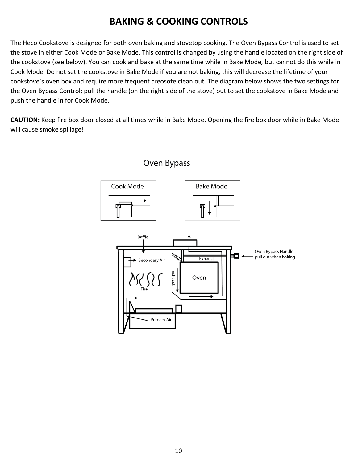### **BAKING & COOKING CONTROLS**

The Heco Cookstove is designed for both oven baking and stovetop cooking. The Oven Bypass Control is used to set the stove in either Cook Mode or Bake Mode. This control is changed by using the handle located on the right side of the cookstove (see below). You can cook and bake at the same time while in Bake Mode*,* but cannot do this while in Cook Mode*.* Do not set the cookstove in Bake Mode if you are not baking, this will decrease the lifetime of your cookstove's oven box and require more frequent creosote clean out. The diagram below shows the two settings for the Oven Bypass Control; pull the handle (on the right side of the stove) out to set the cookstove in Bake Mode and push the handle in for Cook Mode.

**CAUTION:** Keep fire box door closed at all times while in Bake Mode. Opening the fire box door while in Bake Mode will cause smoke spillage!



#### 10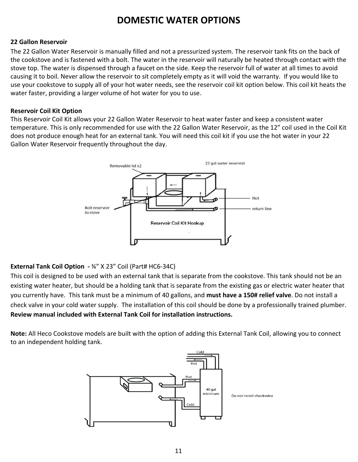### **DOMESTIC WATER OPTIONS**

#### **22 Gallon Reservoir**

The 22 Gallon Water Reservoir is manually filled and not a pressurized system. The reservoir tank fits on the back of the cookstove and is fastened with a bolt. The water in the reservoir will naturally be heated through contact with the stove top. The water is dispensed through a faucet on the side. Keep the reservoir full of water at all times to avoid causing it to boil. Never allow the reservoir to sit completely empty as it will void the warranty. If you would like to use your cookstove to supply all of your hot water needs, see the reservoir coil kit option below. This coil kit heats the water faster, providing a larger volume of hot water for you to use.

#### **Reservoir Coil Kit Option**

This Reservoir Coil Kit allows your 22 Gallon Water Reservoir to heat water faster and keep a consistent water temperature. This is only recommended for use with the 22 Gallon Water Reservoir, as the 12" coil used in the Coil Kit does not produce enough heat for an external tank. You will need this coil kit if you use the hot water in your 22 Gallon Water Reservoir frequently throughout the day.



#### **External Tank Coil Option -** ¾" X 23" Coil (Part# HC6-34C)

This coil is designed to be used with an external tank that is separate from the cookstove. This tank should not be an existing water heater, but should be a holding tank that is separate from the existing gas or electric water heater that you currently have. This tank must be a minimum of 40 gallons, and **must have a 150# relief valve**. Do not install a check valve in your cold water supply. The installation of this coil should be done by a professionally trained plumber. **Review manual included with External Tank Coil for installation instructions.**

**Note:** All Heco Cookstove models are built with the option of adding this External Tank Coil, allowing you to connect to an independent holding tank.

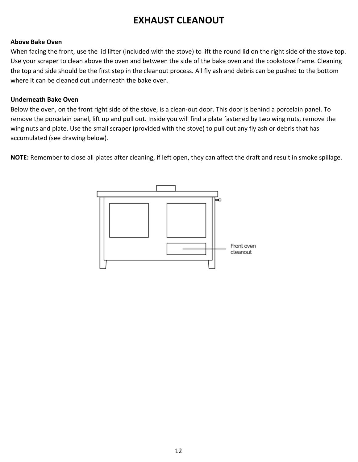### **EXHAUST CLEANOUT**

#### **Above Bake Oven**

When facing the front, use the lid lifter (included with the stove) to lift the round lid on the right side of the stove top. Use your scraper to clean above the oven and between the side of the bake oven and the cookstove frame. Cleaning the top and side should be the first step in the cleanout process. All fly ash and debris can be pushed to the bottom where it can be cleaned out underneath the bake oven.

#### **Underneath Bake Oven**

Below the oven, on the front right side of the stove, is a clean-out door. This door is behind a porcelain panel. To remove the porcelain panel, lift up and pull out. Inside you will find a plate fastened by two wing nuts, remove the wing nuts and plate. Use the small scraper (provided with the stove) to pull out any fly ash or debris that has accumulated (see drawing below).

**NOTE:** Remember to close all plates after cleaning, if left open, they can affect the draft and result in smoke spillage.

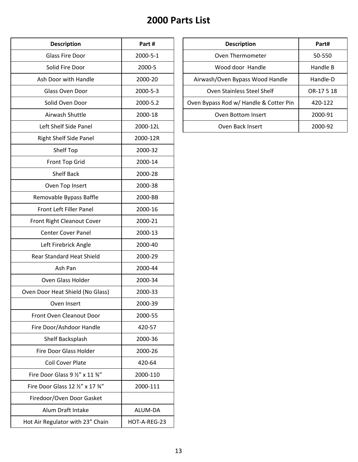### **2000 Parts List**

| <b>Description</b>                | Part #       |
|-----------------------------------|--------------|
| <b>Glass Fire Door</b>            | 2000-5-1     |
| Solid Fire Door                   | 2000-5       |
| Ash Door with Handle              | 2000-20      |
| Glass Oven Door                   | 2000-5-3     |
| Solid Oven Door                   | 2000-5.2     |
| Airwash Shuttle                   | 2000-18      |
| Left Shelf Side Panel             | 2000-12L     |
| <b>Right Shelf Side Panel</b>     | 2000-12R     |
| Shelf Top                         | 2000-32      |
| Front Top Grid                    | 2000-14      |
| <b>Shelf Back</b>                 | 2000-28      |
| Oven Top Insert                   | 2000-38      |
| Removable Bypass Baffle           | 2000-BB      |
| <b>Front Left Filler Panel</b>    | 2000-16      |
| Front Right Cleanout Cover        | 2000-21      |
| <b>Center Cover Panel</b>         | 2000-13      |
| Left Firebrick Angle              | 2000-40      |
| <b>Rear Standard Heat Shield</b>  | 2000-29      |
| Ash Pan                           | 2000-44      |
| Oven Glass Holder                 | 2000-34      |
| Oven Door Heat Shield (No Glass)  | 2000-33      |
| Oven Insert                       | 2000-39      |
| Front Oven Cleanout Door          | 2000-55      |
| Fire Door/Ashdoor Handle          | 420-57       |
| Shelf Backsplash                  | 2000-36      |
| <b>Fire Door Glass Holder</b>     | 2000-26      |
| <b>Coil Cover Plate</b>           | 420-64       |
| Fire Door Glass 9 1/2" x 11 3/4"  | 2000-110     |
| Fire Door Glass 12 1/2" x 17 3/4" | 2000-111     |
| Firedoor/Oven Door Gasket         |              |
| Alum Draft Intake                 | ALUM-DA      |
| Hot Air Regulator with 23" Chain  | HOT-A-REG-23 |

| <b>Description</b>    | Part #         | <b>Description</b>                     | Part#      |
|-----------------------|----------------|----------------------------------------|------------|
| Glass Fire Door       | 2000-5-1       | Oven Thermometer                       | 50-550     |
| Solid Fire Door       | 2000-5         | Wood door Handle                       | Handle B   |
| Ash Door with Handle  | 2000-20        | Airwash/Oven Bypass Wood Handle        | Handle-D   |
| Glass Oven Door       | $2000 - 5 - 3$ | Oven Stainless Steel Shelf             | OR-17 5 18 |
| Solid Oven Door       | 2000-5.2       | Oven Bypass Rod w/ Handle & Cotter Pin | 420-122    |
| Airwash Shuttle       | 2000-18        | Oven Bottom Insert                     | 2000-91    |
| Left Shelf Side Panel | 2000-12L       | Oven Back Insert                       | 2000-92    |
|                       |                |                                        |            |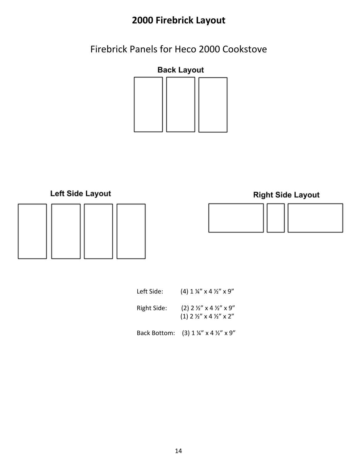## **2000 Firebrick Layout**

Firebrick Panels for Heco 2000 Cookstove







**Right Side Layout** 





| Left Side:  | $(4)$ 1 ¼" x 4 ½" x 9"                                                     |
|-------------|----------------------------------------------------------------------------|
| Right Side: | $(2)$ 2 ½" x 4 ½" x 9"<br>$(1)$ 2 $\frac{1}{2}$ " x 4 $\frac{1}{2}$ " x 2" |
|             | Back Bottom: $(3) 1 \frac{1}{4}$ x 4 $\frac{1}{2}$ x 9"                    |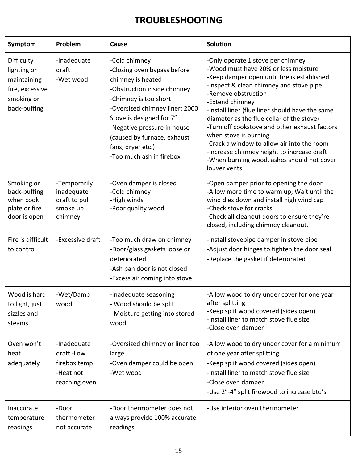### **TROUBLESHOOTING**

| Symptom                                                                                   | Problem                                                                | Cause                                                                                                                                                                                                                                                                                                  | <b>Solution</b>                                                                                                                                                                                                                                                                                                                                                                                                                                                                                                                                   |
|-------------------------------------------------------------------------------------------|------------------------------------------------------------------------|--------------------------------------------------------------------------------------------------------------------------------------------------------------------------------------------------------------------------------------------------------------------------------------------------------|---------------------------------------------------------------------------------------------------------------------------------------------------------------------------------------------------------------------------------------------------------------------------------------------------------------------------------------------------------------------------------------------------------------------------------------------------------------------------------------------------------------------------------------------------|
| Difficulty<br>lighting or<br>maintaining<br>fire, excessive<br>smoking or<br>back-puffing | -Inadequate<br>draft<br>-Wet wood                                      | -Cold chimney<br>-Closing oven bypass before<br>chimney is heated<br>-Obstruction inside chimney<br>-Chimney is too short<br>-Oversized chimney liner: 2000<br>Stove is designed for 7"<br>-Negative pressure in house<br>(caused by furnace, exhaust<br>fans, dryer etc.)<br>-Too much ash in firebox | -Only operate 1 stove per chimney<br>-Wood must have 20% or less moisture<br>-Keep damper open until fire is established<br>-Inspect & clean chimney and stove pipe<br>-Remove obstruction<br>-Extend chimney<br>-Install liner (flue liner should have the same<br>diameter as the flue collar of the stove)<br>-Turn off cookstove and other exhaust factors<br>when stove is burning<br>-Crack a window to allow air into the room<br>-Increase chimney height to increase draft<br>-When burning wood, ashes should not cover<br>louver vents |
| Smoking or<br>back-puffing<br>when cook<br>plate or fire<br>door is open                  | -Temporarily<br>inadequate<br>draft to pull<br>smoke up<br>chimney     | -Oven damper is closed<br>-Cold chimney<br>-High winds<br>-Poor quality wood                                                                                                                                                                                                                           | -Open damper prior to opening the door<br>-Allow more time to warm up; Wait until the<br>wind dies down and install high wind cap<br>-Check stove for cracks<br>-Check all cleanout doors to ensure they're<br>closed, including chimney cleanout.                                                                                                                                                                                                                                                                                                |
| Fire is difficult<br>to control                                                           | -Excessive draft                                                       | -Too much draw on chimney<br>-Door/glass gaskets loose or<br>deteriorated<br>-Ash pan door is not closed<br>-Excess air coming into stove                                                                                                                                                              | -Install stovepipe damper in stove pipe<br>-Adjust door hinges to tighten the door seal<br>-Replace the gasket if deteriorated                                                                                                                                                                                                                                                                                                                                                                                                                    |
| Wood is hard<br>to light, just<br>sizzles and<br>steams                                   | -Wet/Damp<br>wood                                                      | -Inadequate seasoning<br>- Wood should be split<br>- Moisture getting into stored<br>wood                                                                                                                                                                                                              | -Allow wood to dry under cover for one year<br>after splitting<br>-Keep split wood covered (sides open)<br>-Install liner to match stove flue size<br>-Close oven damper                                                                                                                                                                                                                                                                                                                                                                          |
| Oven won't<br>heat<br>adequately                                                          | -Inadequate<br>draft-Low<br>firebox temp<br>-Heat not<br>reaching oven | -Oversized chimney or liner too<br>large<br>-Oven damper could be open<br>-Wet wood                                                                                                                                                                                                                    | -Allow wood to dry under cover for a minimum<br>of one year after splitting<br>-Keep split wood covered (sides open)<br>-Install liner to match stove flue size<br>-Close oven damper<br>-Use 2"-4" split firewood to increase btu's                                                                                                                                                                                                                                                                                                              |
| Inaccurate<br>temperature<br>readings                                                     | -Door<br>thermometer<br>not accurate                                   | -Door thermometer does not<br>always provide 100% accurate<br>readings                                                                                                                                                                                                                                 | -Use interior oven thermometer                                                                                                                                                                                                                                                                                                                                                                                                                                                                                                                    |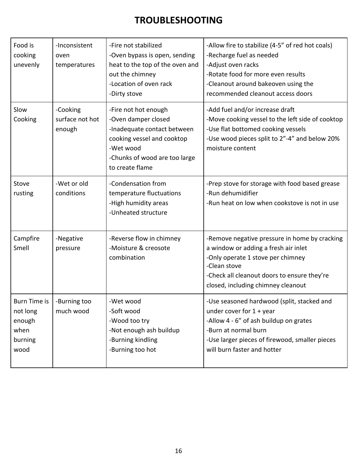### **TROUBLESHOOTING**

| Food is<br>cooking<br>unevenly                                | -Inconsistent<br>oven<br>temperatures | -Fire not stabilized<br>-Oven bypass is open, sending<br>heat to the top of the oven and<br>out the chimney<br>-Location of oven rack<br>-Dirty stove                     | -Allow fire to stabilize (4-5" of red hot coals)<br>-Recharge fuel as needed<br>-Adjust oven racks<br>-Rotate food for more even results<br>-Cleanout around bakeoven using the<br>recommended cleanout access doors            |
|---------------------------------------------------------------|---------------------------------------|---------------------------------------------------------------------------------------------------------------------------------------------------------------------------|---------------------------------------------------------------------------------------------------------------------------------------------------------------------------------------------------------------------------------|
| Slow<br>Cooking                                               | -Cooking<br>surface not hot<br>enough | -Fire not hot enough<br>-Oven damper closed<br>-Inadequate contact between<br>cooking vessel and cooktop<br>-Wet wood<br>-Chunks of wood are too large<br>to create flame | -Add fuel and/or increase draft<br>-Move cooking vessel to the left side of cooktop<br>-Use flat bottomed cooking vessels<br>-Use wood pieces split to 2"-4" and below 20%<br>moisture content                                  |
| Stove<br>rusting                                              | -Wet or old<br>conditions             | -Condensation from<br>temperature fluctuations<br>-High humidity areas<br>-Unheated structure                                                                             | -Prep stove for storage with food based grease<br>-Run dehumidifier<br>-Run heat on low when cookstove is not in use                                                                                                            |
| Campfire<br>Smell                                             | -Negative<br>pressure                 | -Reverse flow in chimney<br>-Moisture & creosote<br>combination                                                                                                           | -Remove negative pressure in home by cracking<br>a window or adding a fresh air inlet<br>-Only operate 1 stove per chimney<br>-Clean stove<br>-Check all cleanout doors to ensure they're<br>closed, including chimney cleanout |
| Burn Time is<br>not long<br>enough<br>when<br>burning<br>wood | -Burning too<br>much wood             | -Wet wood<br>-Soft wood<br>-Wood too try<br>-Not enough ash buildup<br>-Burning kindling<br>-Burning too hot                                                              | -Use seasoned hardwood (split, stacked and<br>under cover for $1 +$ year<br>-Allow 4 - 6" of ash buildup on grates<br>-Burn at normal burn<br>-Use larger pieces of firewood, smaller pieces<br>will burn faster and hotter     |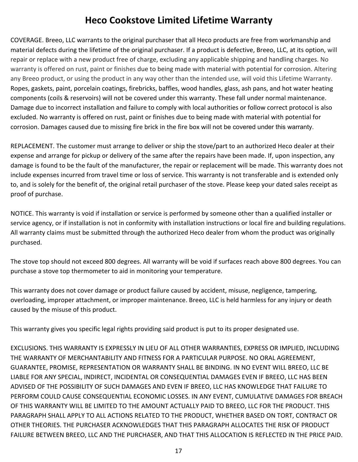### **Heco Cookstove Limited Lifetime Warranty**

COVERAGE. Breeo, LLC warrants to the original purchaser that all Heco products are free from workmanship and material defects during the lifetime of the original purchaser. If a product is defective, Breeo, LLC, at its option, will repair or replace with a new product free of charge, excluding any applicable shipping and handling charges. No warranty is offered on rust, paint or finishes due to being made with material with potential for corrosion. Altering any Breeo product, or using the product in any way other than the intended use, will void this Lifetime Warranty. Ropes, gaskets, paint, porcelain coatings, firebricks, baffles, wood handles, glass, ash pans, and hot water heating components (coils & reservoirs) will not be covered under this warranty. These fall under normal maintenance. Damage due to incorrect installation and failure to comply with local authorities or follow correct protocol is also excluded. No warranty is offered on rust, paint or finishes due to being made with material with potential for corrosion. Damages caused due to missing fire brick in the fire box will not be covered under this warranty.

REPLACEMENT. The customer must arrange to deliver or ship the stove/part to an authorized Heco dealer at their expense and arrange for pickup or delivery of the same after the repairs have been made. If, upon inspection, any damage is found to be the fault of the manufacturer, the repair or replacement will be made. This warranty does not include expenses incurred from travel time or loss of service. This warranty is not transferable and is extended only to, and is solely for the benefit of, the original retail purchaser of the stove. Please keep your dated sales receipt as proof of purchase.

NOTICE. This warranty is void if installation or service is performed by someone other than a qualified installer or service agency, or if installation is not in conformity with installation instructions or local fire and building regulations. All warranty claims must be submitted through the authorized Heco dealer from whom the product was originally purchased.

The stove top should not exceed 800 degrees. All warranty will be void if surfaces reach above 800 degrees. You can purchase a stove top thermometer to aid in monitoring your temperature.

This warranty does not cover damage or product failure caused by accident, misuse, negligence, tampering, overloading, improper attachment, or improper maintenance. Breeo, LLC is held harmless for any injury or death caused by the misuse of this product.

This warranty gives you specific legal rights providing said product is put to its proper designated use.

EXCLUSIONS. THIS WARRANTY IS EXPRESSLY IN LIEU OF ALL OTHER WARRANTIES, EXPRESS OR IMPLIED, INCLUDING THE WARRANTY OF MERCHANTABILITY AND FITNESS FOR A PARTICULAR PURPOSE. NO ORAL AGREEMENT, GUARANTEE, PROMISE, REPRESENTATION OR WARRANTY SHALL BE BINDING. IN NO EVENT WILL BREEO, LLC BE LIABLE FOR ANY SPECIAL, INDIRECT, INCIDENTAL OR CONSEQUENTIAL DAMAGES EVEN IF BREEO, LLC HAS BEEN ADVISED OF THE POSSIBILITY OF SUCH DAMAGES AND EVEN IF BREEO, LLC HAS KNOWLEDGE THAT FAILURE TO PERFORM COULD CAUSE CONSEQUENTIAL ECONOMIC LOSSES. IN ANY EVENT, CUMULATIVE DAMAGES FOR BREACH OF THIS WARRANTY WILL BE LIMITED TO THE AMOUNT ACTUALLY PAID TO BREEO, LLC FOR THE PRODUCT. THIS PARAGRAPH SHALL APPLY TO ALL ACTIONS RELATED TO THE PRODUCT, WHETHER BASED ON TORT, CONTRACT OR OTHER THEORIES. THE PURCHASER ACKNOWLEDGES THAT THIS PARAGRAPH ALLOCATES THE RISK OF PRODUCT FAILURE BETWEEN BREEO, LLC AND THE PURCHASER, AND THAT THIS ALLOCATION IS REFLECTED IN THE PRICE PAID.